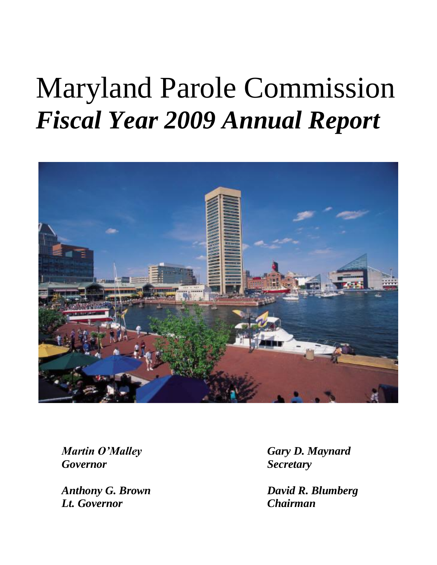# Maryland Parole Commission *Fiscal Year 2009 Annual Report*



*Governor Secretary*

*Lt. Governor Chairman*

*Martin O'Malley Gary D. Maynard*

*Anthony G. Brown David R. Blumberg*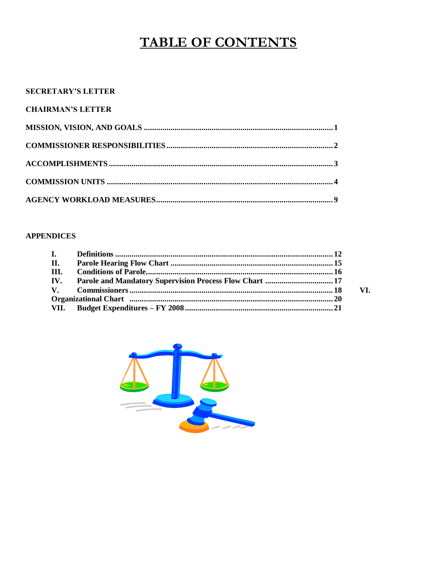# **TABLE OF CONTENTS**

#### **SECRETARY'S LETTER**

| <b>CHAIRMAN'S LETTER</b> |  |
|--------------------------|--|
|                          |  |
|                          |  |
|                          |  |
|                          |  |
|                          |  |

#### **APPENDICES**

| I.           |                                                                                                                |     |
|--------------|----------------------------------------------------------------------------------------------------------------|-----|
| - п.         |                                                                                                                |     |
| HI.          |                                                                                                                |     |
| IV.          |                                                                                                                |     |
| $\mathbf{V}$ |                                                                                                                | VI. |
|              | Organizational Chart music members and contain the contract of the contract of the contract of the contract of |     |
| VII.         |                                                                                                                |     |

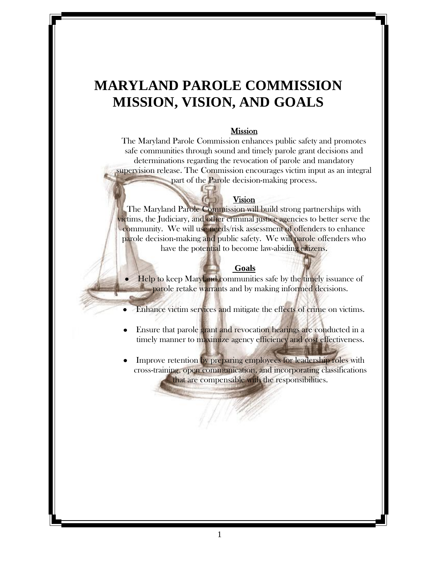# **MARYLAND PAROLE COMMISSION MISSION, VISION, AND GOALS**

#### Mission

The Maryland Parole Commission enhances public safety and promotes safe communities through sound and timely parole grant decisions and determinations regarding the revocation of parole and mandatory supervision release. The Commission encourages victim input as an integral part of the Parole decision-making process.

#### Vision

The Maryland Parole Commission will build strong partnerships with victims, the Judiciary, and other criminal justice agencies to better serve the community. We will use needs/risk assessment of offenders to enhance parole decision-making and public safety. We will parole offenders who have the potential to become law-abiding citizens.

#### **Goals**

• Help to keep Maryland communities safe by the timely issuance of parole retake warrants and by making informed decisions.

Enhance victim services and mitigate the effects of crime on victims.

- Ensure that parole grant and revocation hearings are conducted in a  $\bullet$ timely manner to maximize agency efficiency and cost effectiveness.
- Improve retention by preparing employees for leadership roles with cross-training, open communication, and incorporating classifications that are compensable with the responsibilities.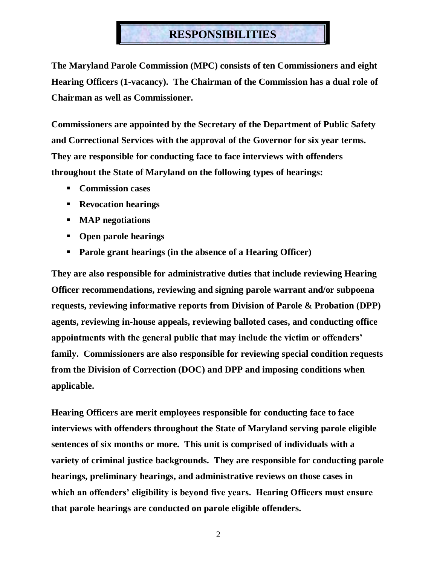### **RESPONSIBILITIES**

**The Maryland Parole Commission (MPC) consists of ten Commissioners and eight Hearing Officers (1-vacancy). The Chairman of the Commission has a dual role of Chairman as well as Commissioner.**

**Commissioners are appointed by the Secretary of the Department of Public Safety and Correctional Services with the approval of the Governor for six year terms. They are responsible for conducting face to face interviews with offenders throughout the State of Maryland on the following types of hearings:**

- **Commission cases**
- **Revocation hearings**
- **MAP negotiations**
- **Open parole hearings**
- **Parole grant hearings (in the absence of a Hearing Officer)**

**They are also responsible for administrative duties that include reviewing Hearing Officer recommendations, reviewing and signing parole warrant and/or subpoena requests, reviewing informative reports from Division of Parole & Probation (DPP) agents, reviewing in-house appeals, reviewing balloted cases, and conducting office appointments with the general public that may include the victim or offenders' family. Commissioners are also responsible for reviewing special condition requests from the Division of Correction (DOC) and DPP and imposing conditions when applicable.**

**Hearing Officers are merit employees responsible for conducting face to face interviews with offenders throughout the State of Maryland serving parole eligible sentences of six months or more. This unit is comprised of individuals with a variety of criminal justice backgrounds. They are responsible for conducting parole hearings, preliminary hearings, and administrative reviews on those cases in which an offenders' eligibility is beyond five years. Hearing Officers must ensure that parole hearings are conducted on parole eligible offenders.**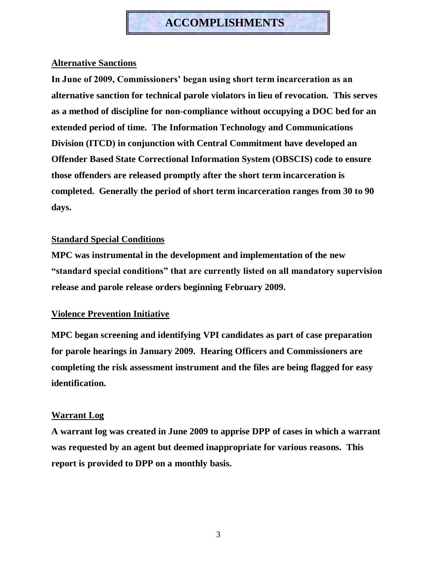### **ACCOMPLISHMENTS**

#### **Alternative Sanctions**

**In June of 2009, Commissioners' began using short term incarceration as an alternative sanction for technical parole violators in lieu of revocation. This serves as a method of discipline for non-compliance without occupying a DOC bed for an extended period of time. The Information Technology and Communications Division (ITCD) in conjunction with Central Commitment have developed an Offender Based State Correctional Information System (OBSCIS) code to ensure those offenders are released promptly after the short term incarceration is completed. Generally the period of short term incarceration ranges from 30 to 90 days.**

#### **Standard Special Conditions**

**MPC was instrumental in the development and implementation of the new ―standard special conditions‖ that are currently listed on all mandatory supervision release and parole release orders beginning February 2009.**

#### **Violence Prevention Initiative**

**MPC began screening and identifying VPI candidates as part of case preparation for parole hearings in January 2009. Hearing Officers and Commissioners are completing the risk assessment instrument and the files are being flagged for easy identification.**

#### **Warrant Log**

**A warrant log was created in June 2009 to apprise DPP of cases in which a warrant was requested by an agent but deemed inappropriate for various reasons. This report is provided to DPP on a monthly basis.**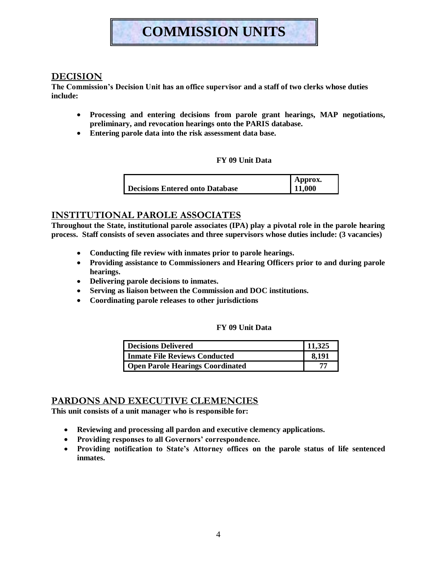# **COMMISSION UNITS**

#### **DECISION**

**The Commission's Decision Unit has an office supervisor and a staff of two clerks whose duties include:**

- **Processing and entering decisions from parole grant hearings, MAP negotiations,**   $\bullet$ **preliminary, and revocation hearings onto the PARIS database.**
- **Entering parole data into the risk assessment data base.**

#### **FY 09 Unit Data**

|                                 | Approx. |
|---------------------------------|---------|
| Decisions Entered onto Database | 11,000  |

#### **INSTITUTIONAL PAROLE ASSOCIATES**

**Throughout the State, institutional parole associates (IPA) play a pivotal role in the parole hearing process. Staff consists of seven associates and three supervisors whose duties include: (3 vacancies)**

- **Conducting file review with inmates prior to parole hearings.**
- **Providing assistance to Commissioners and Hearing Officers prior to and during parole hearings.**
- **Delivering parole decisions to inmates.**
- **Serving as liaison between the Commission and DOC institutions.**
- **Coordinating parole releases to other jurisdictions**

#### **FY 09 Unit Data**

| <b>Decisions Delivered</b>              | 11,325 |
|-----------------------------------------|--------|
| <b>Inmate File Reviews Conducted</b>    | 8.191  |
| <b>Open Parole Hearings Coordinated</b> |        |

#### **PARDONS AND EXECUTIVE CLEMENCIES**

**This unit consists of a unit manager who is responsible for:**

- **Reviewing and processing all pardon and executive clemency applications.**
- **Providing responses to all Governors' correspondence.**
- **Providing notification to State's Attorney offices on the parole status of life sentenced inmates.**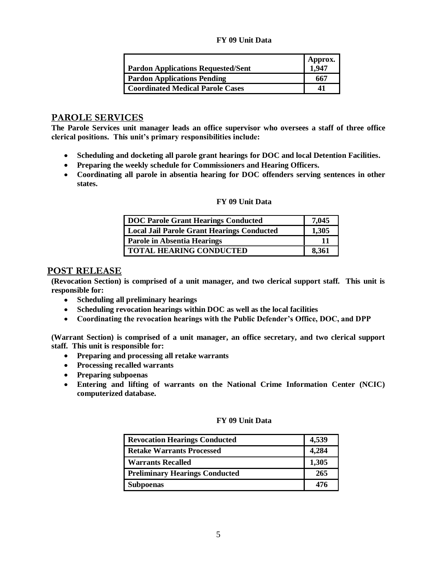#### **FY 09 Unit Data**

| <b>Pardon Applications Requested/Sent</b> | Approx.<br>1,947 |
|-------------------------------------------|------------------|
| <b>Pardon Applications Pending</b>        | 667              |
| <b>Coordinated Medical Parole Cases</b>   | 41               |

#### **PAROLE SERVICES**

**The Parole Services unit manager leads an office supervisor who oversees a staff of three office clerical positions. This unit's primary responsibilities include:** 

- **Scheduling and docketing all parole grant hearings for DOC and local Detention Facilities.**
- **Preparing the weekly schedule for Commissioners and Hearing Officers.**
- **Coordinating all parole in absentia hearing for DOC offenders serving sentences in other states.**

#### **FY 09 Unit Data**

| DOC Parole Grant Hearings Conducted        | 7,045 |
|--------------------------------------------|-------|
| Local Jail Parole Grant Hearings Conducted | 1,305 |
| <b>Parole in Absentia Hearings</b>         | 11    |
| <b>TOTAL HEARING CONDUCTED</b>             | 8,361 |

#### **POST RELEASE**

**(Revocation Section) is comprised of a unit manager, and two clerical support staff. This unit is responsible for:**

- $\bullet$ **Scheduling all preliminary hearings**
- **Scheduling revocation hearings within DOC as well as the local facilities**  $\bullet$
- $\bullet$ **Coordinating the revocation hearings with the Public Defender's Office, DOC, and DPP**

**(Warrant Section) is comprised of a unit manager, an office secretary, and two clerical support staff. This unit is responsible for:**

- **Preparing and processing all retake warrants**
- **Processing recalled warrants**
- **Preparing subpoenas**
- **Entering and lifting of warrants on the National Crime Information Center (NCIC) computerized database.**

#### **FY 09 Unit Data**

| <b>Revocation Hearings Conducted</b>  | 4,539 |
|---------------------------------------|-------|
| <b>Retake Warrants Processed</b>      | 4,284 |
| <b>Warrants Recalled</b>              | 1,305 |
| <b>Preliminary Hearings Conducted</b> | 265   |
| <b>Subpoenas</b>                      | 476   |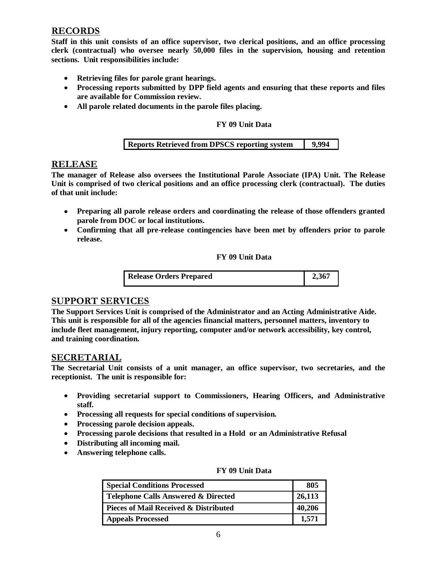#### **RECORDS**

**Staff in this unit consists of an office supervisor, two clerical positions, and an office processing clerk (contractual) who oversee nearly 50,000 files in the supervision, housing and retention sections. Unit responsibilities include:**

- **Retrieving files for parole grant hearings.**
- **Processing reports submitted by DPP field agents and ensuring that these reports and files are available for Commission review.**
- **All parole related documents in the parole files placing.**

#### **FY 09 Unit Data**

|  | <b>Reports Retrieved from DPSCS reporting system</b> | 9,994 |
|--|------------------------------------------------------|-------|
|--|------------------------------------------------------|-------|

#### **RELEASE**

**The manager of Release also oversees the Institutional Parole Associate (IPA) Unit. The Release Unit is comprised of two clerical positions and an office processing clerk (contractual). The duties of that unit include:**

- **Preparing all parole release orders and coordinating the release of those offenders granted parole from DOC or local institutions.**
- **Confirming that all pre-release contingencies have been met by offenders prior to parole release.**

#### **FY 09 Unit Data**

| <b>Release Orders Prepared</b> | 2,367 |
|--------------------------------|-------|
|                                |       |

#### **SUPPORT SERVICES**

**The Support Services Unit is comprised of the Administrator and an Acting Administrative Aide. This unit is responsible for all of the agencies financial matters, personnel matters, inventory to include fleet management, injury reporting, computer and/or network accessibility, key control, and training coordination.**

#### **SECRETARIAL**

**The Secretarial Unit consists of a unit manager, an office supervisor, two secretaries, and the receptionist. The unit is responsible for:**

- **Providing secretarial support to Commissioners, Hearing Officers, and Administrative staff.**
- **Processing all requests for special conditions of supervision.**
- **Processing parole decision appeals.**
- **Processing parole decisions that resulted in a Hold or an Administrative Refusal**
- **Distributing all incoming mail.**
- $\bullet$ **Answering telephone calls.**

| <b>Special Conditions Processed</b>            | 805    |
|------------------------------------------------|--------|
| <b>Telephone Calls Answered &amp; Directed</b> | 26,113 |
| Pieces of Mail Received & Distributed          | 40,206 |
| <b>Appeals Processed</b>                       | 1.571  |

#### **FY 09 Unit Data**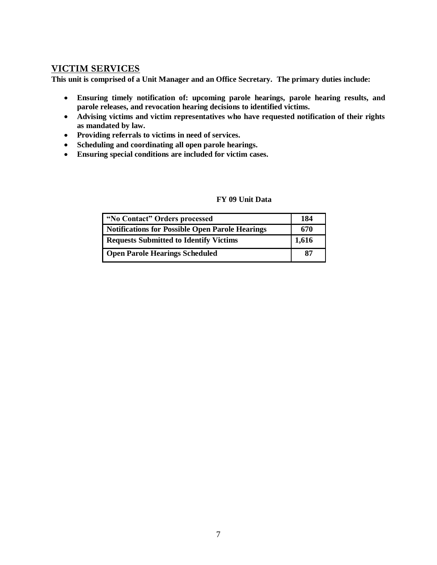#### **VICTIM SERVICES**

**This unit is comprised of a Unit Manager and an Office Secretary. The primary duties include:**

- $\bullet$ **Ensuring timely notification of: upcoming parole hearings, parole hearing results, and parole releases, and revocation hearing decisions to identified victims.**
- **Advising victims and victim representatives who have requested notification of their rights as mandated by law.**
- **Providing referrals to victims in need of services.**
- **Scheduling and coordinating all open parole hearings.**
- **Ensuring special conditions are included for victim cases.**

| "No Contact" Orders processed                   | 184   |
|-------------------------------------------------|-------|
| Notifications for Possible Open Parole Hearings | 670   |
| <b>Requests Submitted to Identify Victims</b>   | 1,616 |
| <b>Open Parole Hearings Scheduled</b>           | 87    |

#### **FY 09 Unit Data**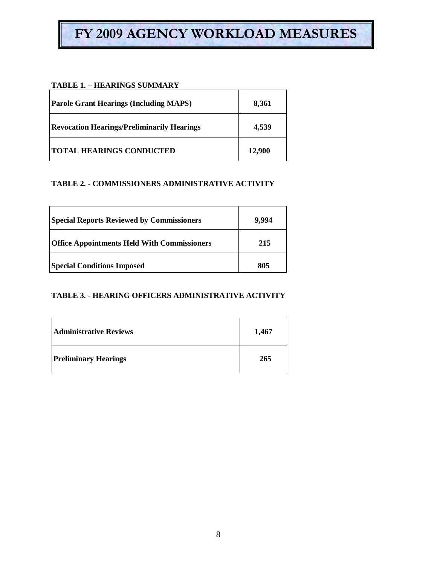# **FY 2009 AGENCY WORKLOAD MEASURES**

#### **TABLE 1. – HEARINGS SUMMARY**

| <b>Parole Grant Hearings (Including MAPS)</b>     | 8,361  |
|---------------------------------------------------|--------|
| <b>Revocation Hearings/Preliminarily Hearings</b> | 4,539  |
| <b>TOTAL HEARINGS CONDUCTED</b>                   | 12,900 |

#### **TABLE 2. - COMMISSIONERS ADMINISTRATIVE ACTIVITY**

| <b>Special Reports Reviewed by Commissioners</b>   | 9.994 |
|----------------------------------------------------|-------|
| <b>Office Appointments Held With Commissioners</b> | 215   |
| <b>Special Conditions Imposed</b>                  | 805   |

#### **TABLE 3. - HEARING OFFICERS ADMINISTRATIVE ACTIVITY**

| <b>Administrative Reviews</b> | 1,467 |
|-------------------------------|-------|
| <b>Preliminary Hearings</b>   | 265   |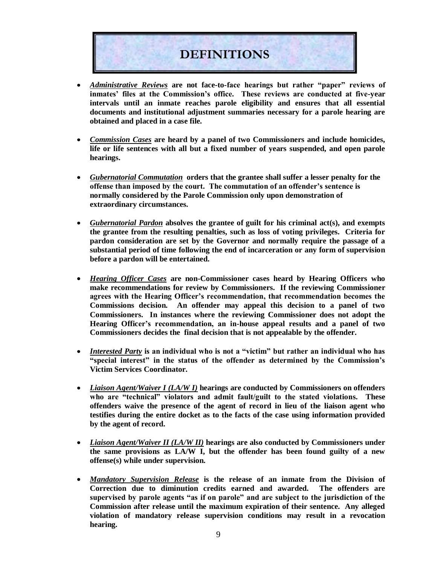

- *Administrative Reviews* are not face-to-face hearings but rather "paper" reviews of  $\bullet$ **inmates' files at the Commission's office. These reviews are conducted at five-year intervals until an inmate reaches parole eligibility and ensures that all essential documents and institutional adjustment summaries necessary for a parole hearing are obtained and placed in a case file.**
- *Commission Cases* **are heard by a panel of two Commissioners and include homicides,**   $\bullet$ **life or life sentences with all but a fixed number of years suspended, and open parole hearings.**
- *Gubernatorial Commutation* **orders that the grantee shall suffer a lesser penalty for the**   $\bullet$ **offense than imposed by the court. The commutation of an offender's sentence is normally considered by the Parole Commission only upon demonstration of extraordinary circumstances.**
- *Gubernatorial Pardon* **absolves the grantee of guilt for his criminal act(s), and exempts the grantee from the resulting penalties, such as loss of voting privileges. Criteria for pardon consideration are set by the Governor and normally require the passage of a substantial period of time following the end of incarceration or any form of supervision before a pardon will be entertained.**
- *Hearing Officer Cases* **are non-Commissioner cases heard by Hearing Officers who make recommendations for review by Commissioners. If the reviewing Commissioner agrees with the Hearing Officer's recommendation, that recommendation becomes the Commissions decision. An offender may appeal this decision to a panel of two Commissioners. In instances where the reviewing Commissioner does not adopt the Hearing Officer's recommendation, an in-house appeal results and a panel of two Commissioners decides the final decision that is not appealable by the offender.**
- *Interested Party* is an individual who is not a "victim" but rather an individual who has  $\bullet$ **―special interest‖ in the status of the offender as determined by the Commission's Victim Services Coordinator.**
- $\bullet$ *Liaison Agent/Waiver I (LA/W I)* **hearings are conducted by Commissioners on offenders**  who are "technical" violators and admit fault/guilt to the stated violations. These **offenders waive the presence of the agent of record in lieu of the liaison agent who testifies during the entire docket as to the facts of the case using information provided by the agent of record.**
- *Liaison Agent/Waiver II (LA/W II)* **hearings are also conducted by Commissioners under the same provisions as LA/W I, but the offender has been found guilty of a new offense(s) while under supervision.**
- *Mandatory Supervision Release* **is the release of an inmate from the Division of**   $\bullet$ **Correction due to diminution credits earned and awarded. The offenders are**  supervised by parole agents "as if on parole" and are subject to the jurisdiction of the **Commission after release until the maximum expiration of their sentence. Any alleged violation of mandatory release supervision conditions may result in a revocation hearing.**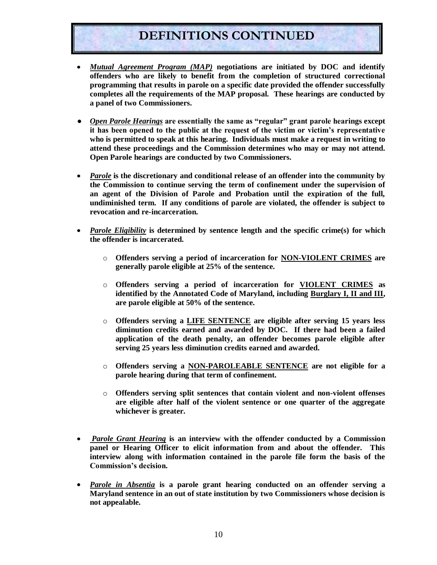### **DEFINITIONS CONTINUED**

- *Mutual Agreement Program (MAP)* **negotiations are initiated by DOC and identify**   $\bullet$ **offenders who are likely to benefit from the completion of structured correctional programming that results in parole on a specific date provided the offender successfully completes all the requirements of the MAP proposal. These hearings are conducted by a panel of two Commissioners.**
- **•** *Open Parole Hearings* are essentially the same as "regular" grant parole hearings except **it has been opened to the public at the request of the victim or victim's representative who is permitted to speak at this hearing. Individuals must make a request in writing to attend these proceedings and the Commission determines who may or may not attend. Open Parole hearings are conducted by two Commissioners.**
- *Parole* **is the discretionary and conditional release of an offender into the community by the Commission to continue serving the term of confinement under the supervision of an agent of the Division of Parole and Probation until the expiration of the full, undiminished term. If any conditions of parole are violated, the offender is subject to revocation and re-incarceration.**
- *Parole Eligibility* **is determined by sentence length and the specific crime(s) for which the offender is incarcerated.**
	- o **Offenders serving a period of incarceration for NON-VIOLENT CRIMES are generally parole eligible at 25% of the sentence.**
	- o **Offenders serving a period of incarceration for VIOLENT CRIMES as identified by the Annotated Code of Maryland, including Burglary I, II and III, are parole eligible at 50% of the sentence.**
	- o **Offenders serving a LIFE SENTENCE are eligible after serving 15 years less diminution credits earned and awarded by DOC. If there had been a failed application of the death penalty, an offender becomes parole eligible after serving 25 years less diminution credits earned and awarded.**
	- o **Offenders serving a NON-PAROLEABLE SENTENCE are not eligible for a parole hearing during that term of confinement.**
	- o **Offenders serving split sentences that contain violent and non-violent offenses are eligible after half of the violent sentence or one quarter of the aggregate whichever is greater.**
- *Parole Grant Hearing* **is an interview with the offender conducted by a Commission panel or Hearing Officer to elicit information from and about the offender. This interview along with information contained in the parole file form the basis of the Commission's decision.**
- *Parole in Absentia* **is a parole grant hearing conducted on an offender serving a Maryland sentence in an out of state institution by two Commissioners whose decision is not appealable.**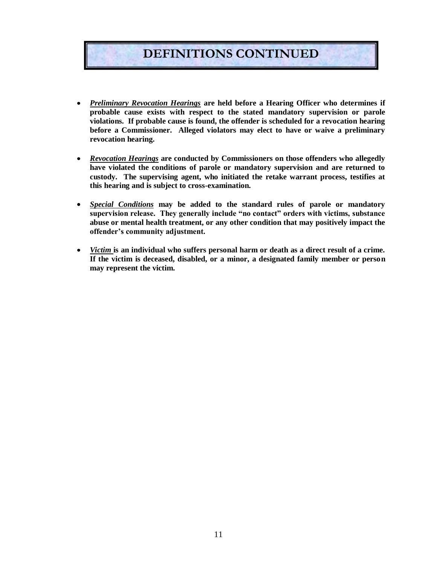# **DEFINITIONS CONTINUED**

- *Preliminary Revocation Hearings* **are held before a Hearing Officer who determines if**   $\bullet$ **probable cause exists with respect to the stated mandatory supervision or parole violations. If probable cause is found, the offender is scheduled for a revocation hearing before a Commissioner. Alleged violators may elect to have or waive a preliminary revocation hearing.**
- *Revocation Hearings* **are conducted by Commissioners on those offenders who allegedly**   $\bullet$ **have violated the conditions of parole or mandatory supervision and are returned to custody. The supervising agent, who initiated the retake warrant process, testifies at this hearing and is subject to cross-examination.**
- *Special Conditions* **may be added to the standard rules of parole or mandatory**   $\bullet$ supervision release. They generally include "no contact" orders with victims, substance **abuse or mental health treatment, or any other condition that may positively impact the offender's community adjustment.**
- *Victim* **is an individual who suffers personal harm or death as a direct result of a crime.**   $\bullet$ **If the victim is deceased, disabled, or a minor, a designated family member or person may represent the victim.**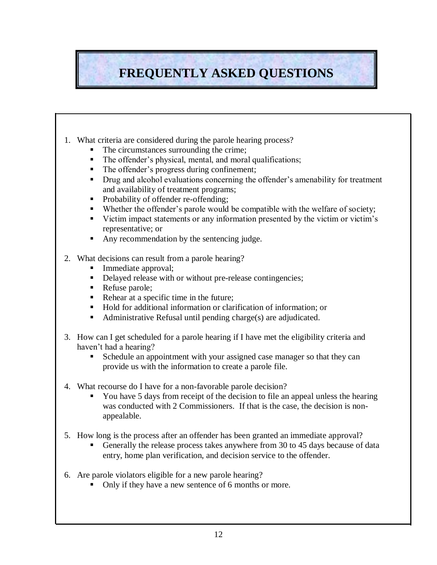# **FREQUENTLY ASKED QUESTIONS**

- 1. What criteria are considered during the parole hearing process?
	- The circumstances surrounding the crime;
	- The offender's physical, mental, and moral qualifications;
	- The offender's progress during confinement;
	- **Drug and alcohol evaluations concerning the offender's amenability for treatment** and availability of treatment programs;
	- Probability of offender re-offending;
	- Whether the offender's parole would be compatible with the welfare of society;
	- Victim impact statements or any information presented by the victim or victim's representative; or
	- Any recommendation by the sentencing judge.
- 2. What decisions can result from a parole hearing?
	- Immediate approval;
	- Delayed release with or without pre-release contingencies;
	- Refuse parole;
	- Rehear at a specific time in the future;
	- Hold for additional information or clarification of information; or
	- Administrative Refusal until pending charge(s) are adjudicated.
- 3. How can I get scheduled for a parole hearing if I have met the eligibility criteria and haven't had a hearing?
	- Schedule an appointment with your assigned case manager so that they can provide us with the information to create a parole file.
- 4. What recourse do I have for a non-favorable parole decision?
	- You have 5 days from receipt of the decision to file an appeal unless the hearing was conducted with 2 Commissioners. If that is the case, the decision is nonappealable.
- 5. How long is the process after an offender has been granted an immediate approval?
	- Generally the release process takes anywhere from 30 to 45 days because of data entry, home plan verification, and decision service to the offender.
- 6. Are parole violators eligible for a new parole hearing?
	- Only if they have a new sentence of 6 months or more.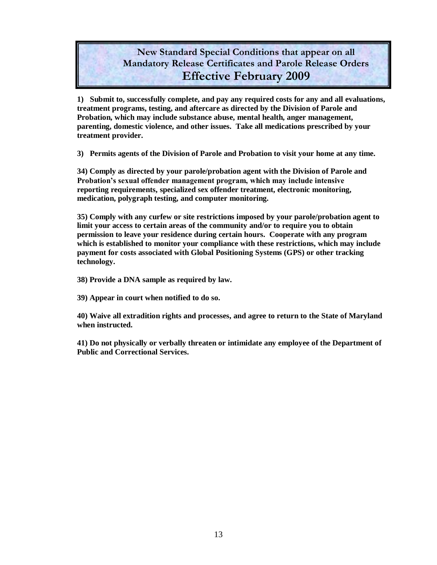### **New Standard Special Conditions that appear on all Mandatory Release Certificates and Parole Release Orders Effective February 2009**

**1) Submit to, successfully complete, and pay any required costs for any and all evaluations, treatment programs, testing, and aftercare as directed by the Division of Parole and Probation, which may include substance abuse, mental health, anger management, parenting, domestic violence, and other issues. Take all medications prescribed by your treatment provider.**

**3) Permits agents of the Division of Parole and Probation to visit your home at any time.**

**34) Comply as directed by your parole/probation agent with the Division of Parole and Probation's sexual offender management program, which may include intensive reporting requirements, specialized sex offender treatment, electronic monitoring, medication, polygraph testing, and computer monitoring.**

**35) Comply with any curfew or site restrictions imposed by your parole/probation agent to limit your access to certain areas of the community and/or to require you to obtain permission to leave your residence during certain hours. Cooperate with any program which is established to monitor your compliance with these restrictions, which may include payment for costs associated with Global Positioning Systems (GPS) or other tracking technology.**

**38) Provide a DNA sample as required by law.**

**39) Appear in court when notified to do so.**

**40) Waive all extradition rights and processes, and agree to return to the State of Maryland when instructed.**

**41) Do not physically or verbally threaten or intimidate any employee of the Department of Public and Correctional Services.**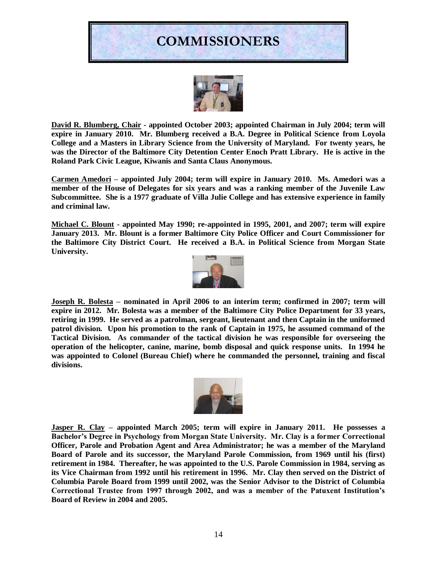# **COMMISSIONERS**



**David R. Blumberg, Chair - appointed October 2003; appointed Chairman in July 2004; term will expire in January 2010. Mr. Blumberg received a B.A. Degree in Political Science from Loyola College and a Masters in Library Science from the University of Maryland. For twenty years, he was the Director of the Baltimore City Detention Center Enoch Pratt Library. He is active in the Roland Park Civic League, Kiwanis and Santa Claus Anonymous.**

**Carmen Amedori – appointed July 2004; term will expire in January 2010. Ms. Amedori was a member of the House of Delegates for six years and was a ranking member of the Juvenile Law Subcommittee. She is a 1977 graduate of Villa Julie College and has extensive experience in family and criminal law.**

**Michael C. Blount - appointed May 1990; re-appointed in 1995, 2001, and 2007; term will expire January 2013. Mr. Blount is a former Baltimore City Police Officer and Court Commissioner for the Baltimore City District Court. He received a B.A. in Political Science from Morgan State University.**



**Joseph R. Bolesta – nominated in April 2006 to an interim term; confirmed in 2007; term will expire in 2012. Mr. Bolesta was a member of the Baltimore City Police Department for 33 years, retiring in 1999. He served as a patrolman, sergeant, lieutenant and then Captain in the uniformed patrol division. Upon his promotion to the rank of Captain in 1975, he assumed command of the Tactical Division. As commander of the tactical division he was responsible for overseeing the operation of the helicopter, canine, marine, bomb disposal and quick response units. In 1994 he was appointed to Colonel (Bureau Chief) where he commanded the personnel, training and fiscal divisions.** 



**Jasper R. Clay – appointed March 2005; term will expire in January 2011. He possesses a Bachelor's Degree in Psychology from Morgan State University. Mr. Clay is a former Correctional Officer, Parole and Probation Agent and Area Administrator; he was a member of the Maryland Board of Parole and its successor, the Maryland Parole Commission, from 1969 until his (first) retirement in 1984. Thereafter, he was appointed to the U.S. Parole Commission in 1984, serving as its Vice Chairman from 1992 until his retirement in 1996. Mr. Clay then served on the District of Columbia Parole Board from 1999 until 2002, was the Senior Advisor to the District of Columbia Correctional Trustee from 1997 through 2002, and was a member of the Patuxent Institution's Board of Review in 2004 and 2005.**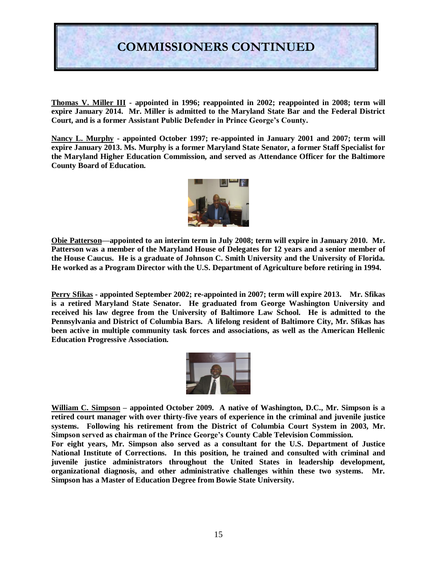

**Thomas V. Miller III - appointed in 1996; reappointed in 2002; reappointed in 2008; term will expire January 2014. Mr. Miller is admitted to the Maryland State Bar and the Federal District Court, and is a former Assistant Public Defender in Prince George's County.**

**Nancy L. Murphy - appointed October 1997; re-appointed in January 2001 and 2007; term will expire January 2013. Ms. Murphy is a former Maryland State Senator, a former Staff Specialist for the Maryland Higher Education Commission, and served as Attendance Officer for the Baltimore County Board of Education.**



**Obie Patterson—appointed to an interim term in July 2008; term will expire in January 2010. Mr. Patterson was a member of the Maryland House of Delegates for 12 years and a senior member of the House Caucus. He is a graduate of Johnson C. Smith University and the University of Florida. He worked as a Program Director with the U.S. Department of Agriculture before retiring in 1994.** 

**Perry Sfikas - appointed September 2002; re-appointed in 2007; term will expire 2013. Mr. Sfikas is a retired Maryland State Senator. He graduated from George Washington University and received his law degree from the University of Baltimore Law School. He is admitted to the Pennsylvania and District of Columbia Bars. A lifelong resident of Baltimore City, Mr. Sfikas has been active in multiple community task forces and associations, as well as the American Hellenic Education Progressive Association.**



**William C. Simpson – appointed October 2009. A native of Washington, D.C., Mr. Simpson is a retired court manager with over thirty-five years of experience in the criminal and juvenile justice systems. Following his retirement from the District of Columbia Court System in 2003, Mr. Simpson served as chairman of the Prince George's County Cable Television Commission.** 

**For eight years, Mr. Simpson also served as a consultant for the U.S. Department of Justice National Institute of Corrections. In this position, he trained and consulted with criminal and juvenile justice administrators throughout the United States in leadership development, organizational diagnosis, and other administrative challenges within these two systems. Mr. Simpson has a Master of Education Degree from Bowie State University.**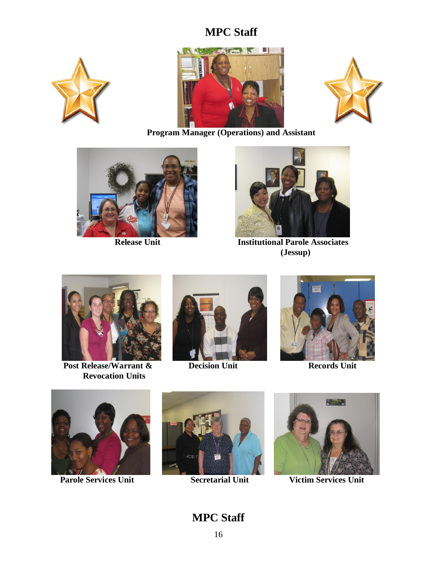### **MPC Staff**







**Program Manager (Operations) and Assistant**





 **Release Unit Institutional Parole Associates (Jessup)**



**Post Release/Warrant & Decision Unit Records** Unit **Revocation Units**







 **Parole Services Unit Secretarial Unit Victim Services Unit** 





**MPC Staff**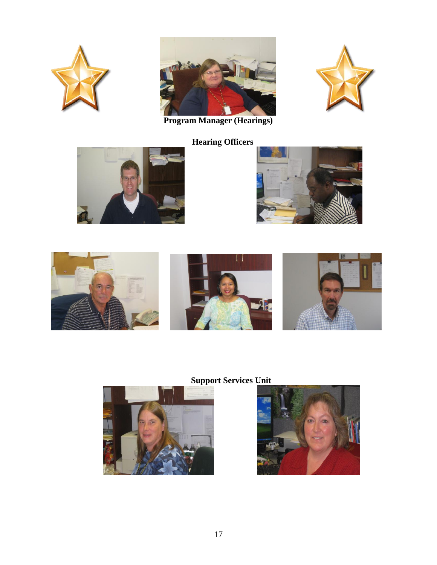







 **Hearing Officers**







**Support Services Unit**



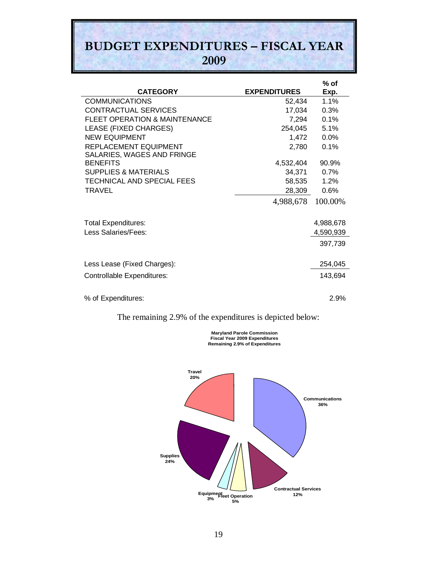# **BUDGET EXPENDITURES – FISCAL YEAR 2009**

|                                                     |                     | $%$ of    |
|-----------------------------------------------------|---------------------|-----------|
| <b>CATEGORY</b>                                     | <b>EXPENDITURES</b> | Exp.      |
| <b>COMMUNICATIONS</b>                               | 52,434              | 1.1%      |
| <b>CONTRACTUAL SERVICES</b>                         | 17,034              | 0.3%      |
| <b>FLEET OPERATION &amp; MAINTENANCE</b>            | 7,294               | 0.1%      |
| LEASE (FIXED CHARGES)                               | 254,045             | 5.1%      |
| <b>NEW EQUIPMENT</b>                                | 1,472               | 0.0%      |
| REPLACEMENT EQUIPMENT<br>SALARIES, WAGES AND FRINGE | 2,780               | 0.1%      |
| <b>BENEFITS</b>                                     | 4,532,404           | 90.9%     |
| <b>SUPPLIES &amp; MATERIALS</b>                     | 34,371              | 0.7%      |
| TECHNICAL AND SPECIAL FEES                          | 58,535              | 1.2%      |
| <b>TRAVEL</b>                                       | 28,309              | 0.6%      |
|                                                     | 4,988,678           | 100.00%   |
| <b>Total Expenditures:</b>                          |                     | 4,988,678 |
| Less Salaries/Fees:                                 |                     | 4,590,939 |
|                                                     |                     | 397,739   |
| Less Lease (Fixed Charges):                         |                     | 254,045   |
| Controllable Expenditures:                          |                     | 143,694   |
| % of Expenditures:                                  |                     | 2.9%      |
|                                                     |                     |           |

The remaining 2.9% of the expenditures is depicted below:



**Maryland Parole Commission Fiscal Year 2009 Expenditures Remaining 2.9% of Expenditures**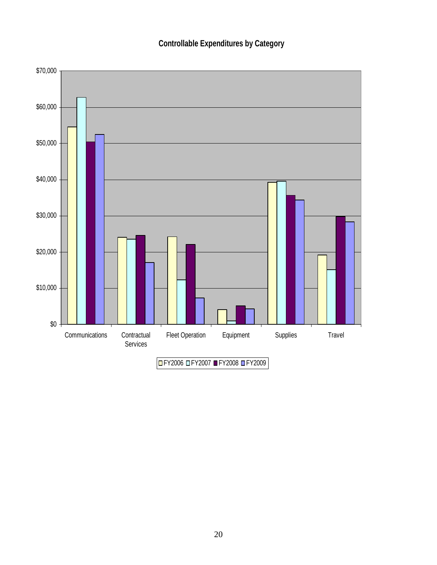**Controllable Expenditures by Category**